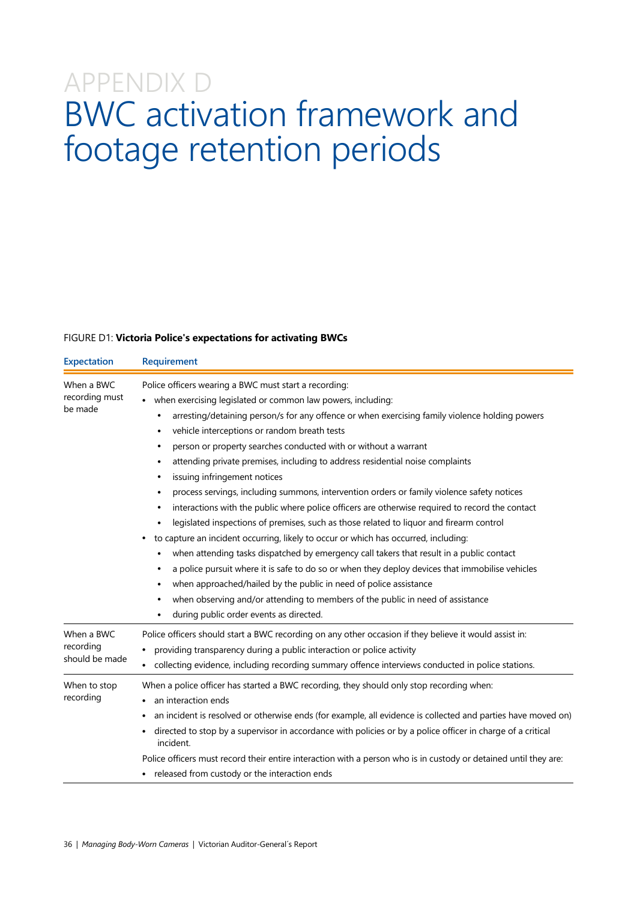## APPENDIX D BWC activation framework and footage retention periods

## FIGURE D1: **Victoria Police's expectations for activating BWCs**

| <b>Expectation</b>                        | Requirement                                                                                                                                                                                                                                                                                                                                                                                                                                                                                                                                                                                                                                                                                                                                                                                                                                                                                                                                                                                                                                                                                                                                                                                                                                                                       |  |  |  |
|-------------------------------------------|-----------------------------------------------------------------------------------------------------------------------------------------------------------------------------------------------------------------------------------------------------------------------------------------------------------------------------------------------------------------------------------------------------------------------------------------------------------------------------------------------------------------------------------------------------------------------------------------------------------------------------------------------------------------------------------------------------------------------------------------------------------------------------------------------------------------------------------------------------------------------------------------------------------------------------------------------------------------------------------------------------------------------------------------------------------------------------------------------------------------------------------------------------------------------------------------------------------------------------------------------------------------------------------|--|--|--|
| When a BWC<br>recording must<br>be made   | Police officers wearing a BWC must start a recording:<br>when exercising legislated or common law powers, including:<br>arresting/detaining person/s for any offence or when exercising family violence holding powers<br>٠<br>vehicle interceptions or random breath tests<br>person or property searches conducted with or without a warrant<br>٠<br>attending private premises, including to address residential noise complaints<br>٠<br>issuing infringement notices<br>process servings, including summons, intervention orders or family violence safety notices<br>٠<br>interactions with the public where police officers are otherwise required to record the contact<br>٠<br>legislated inspections of premises, such as those related to liquor and firearm control<br>to capture an incident occurring, likely to occur or which has occurred, including:<br>when attending tasks dispatched by emergency call takers that result in a public contact<br>٠<br>a police pursuit where it is safe to do so or when they deploy devices that immobilise vehicles<br>when approached/hailed by the public in need of police assistance<br>when observing and/or attending to members of the public in need of assistance<br>٠<br>during public order events as directed. |  |  |  |
| When a BWC<br>recording<br>should be made | Police officers should start a BWC recording on any other occasion if they believe it would assist in:<br>providing transparency during a public interaction or police activity<br>collecting evidence, including recording summary offence interviews conducted in police stations.                                                                                                                                                                                                                                                                                                                                                                                                                                                                                                                                                                                                                                                                                                                                                                                                                                                                                                                                                                                              |  |  |  |
| When to stop<br>recording                 | When a police officer has started a BWC recording, they should only stop recording when:<br>an interaction ends<br>an incident is resolved or otherwise ends (for example, all evidence is collected and parties have moved on)<br>directed to stop by a supervisor in accordance with policies or by a police officer in charge of a critical<br>incident.<br>Police officers must record their entire interaction with a person who is in custody or detained until they are:<br>• released from custody or the interaction ends                                                                                                                                                                                                                                                                                                                                                                                                                                                                                                                                                                                                                                                                                                                                                |  |  |  |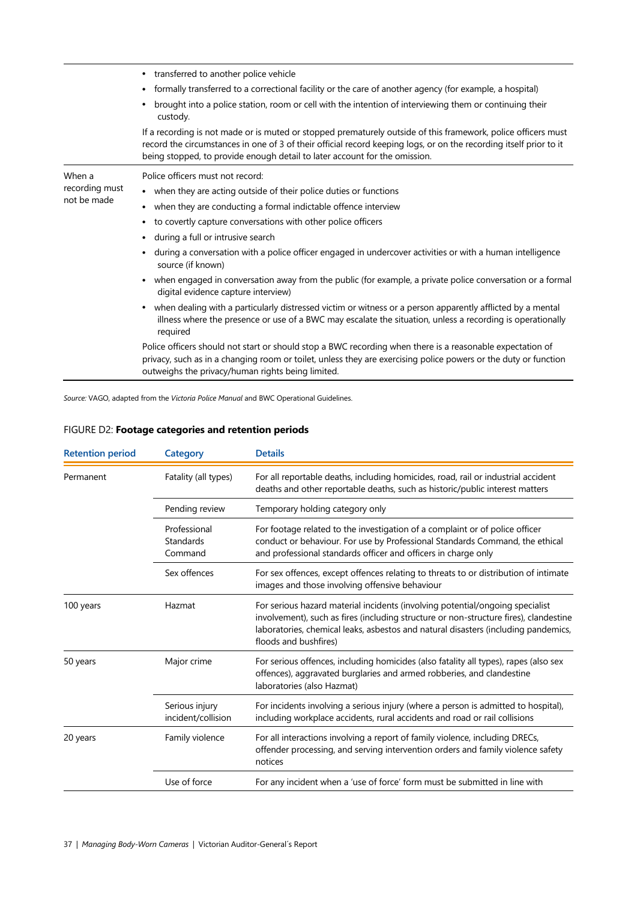|                                         | • transferred to another police vehicle                                                                                                                                                                                                                                                                           |  |  |  |  |
|-----------------------------------------|-------------------------------------------------------------------------------------------------------------------------------------------------------------------------------------------------------------------------------------------------------------------------------------------------------------------|--|--|--|--|
|                                         | formally transferred to a correctional facility or the care of another agency (for example, a hospital)<br>٠                                                                                                                                                                                                      |  |  |  |  |
|                                         | brought into a police station, room or cell with the intention of interviewing them or continuing their<br>custody.                                                                                                                                                                                               |  |  |  |  |
|                                         | If a recording is not made or is muted or stopped prematurely outside of this framework, police officers must<br>record the circumstances in one of 3 of their official record keeping logs, or on the recording itself prior to it<br>being stopped, to provide enough detail to later account for the omission. |  |  |  |  |
| When a<br>recording must<br>not be made | Police officers must not record:                                                                                                                                                                                                                                                                                  |  |  |  |  |
|                                         | • when they are acting outside of their police duties or functions                                                                                                                                                                                                                                                |  |  |  |  |
|                                         | when they are conducting a formal indictable offence interview<br>$\bullet$                                                                                                                                                                                                                                       |  |  |  |  |
|                                         | to covertly capture conversations with other police officers<br>$\bullet$                                                                                                                                                                                                                                         |  |  |  |  |
|                                         | during a full or intrusive search<br>٠                                                                                                                                                                                                                                                                            |  |  |  |  |
|                                         | during a conversation with a police officer engaged in undercover activities or with a human intelligence<br>٠<br>source (if known)                                                                                                                                                                               |  |  |  |  |
|                                         | when engaged in conversation away from the public (for example, a private police conversation or a formal<br>digital evidence capture interview)                                                                                                                                                                  |  |  |  |  |
|                                         | when dealing with a particularly distressed victim or witness or a person apparently afflicted by a mental<br>$\bullet$<br>illness where the presence or use of a BWC may escalate the situation, unless a recording is operationally<br>required                                                                 |  |  |  |  |
|                                         | Police officers should not start or should stop a BWC recording when there is a reasonable expectation of<br>privacy, such as in a changing room or toilet, unless they are exercising police powers or the duty or function<br>outweighs the privacy/human rights being limited.                                 |  |  |  |  |

*Source:* VAGO, adapted from the *Victoria Police Manual* and BWC Operational Guidelines.

| FIGURE D2: Footage categories and retention periods |  |
|-----------------------------------------------------|--|
|                                                     |  |

| <b>Retention period</b> | <b>Category</b>                      | <b>Details</b>                                                                                                                                                                                                                                                                        |
|-------------------------|--------------------------------------|---------------------------------------------------------------------------------------------------------------------------------------------------------------------------------------------------------------------------------------------------------------------------------------|
| Permanent               | Fatality (all types)                 | For all reportable deaths, including homicides, road, rail or industrial accident<br>deaths and other reportable deaths, such as historic/public interest matters                                                                                                                     |
|                         | Pending review                       | Temporary holding category only                                                                                                                                                                                                                                                       |
|                         | Professional<br>Standards<br>Command | For footage related to the investigation of a complaint or of police officer<br>conduct or behaviour. For use by Professional Standards Command, the ethical<br>and professional standards officer and officers in charge only                                                        |
|                         | Sex offences                         | For sex offences, except offences relating to threats to or distribution of intimate<br>images and those involving offensive behaviour                                                                                                                                                |
| 100 years               | Hazmat                               | For serious hazard material incidents (involving potential/ongoing specialist<br>involvement), such as fires (including structure or non-structure fires), clandestine<br>laboratories, chemical leaks, asbestos and natural disasters (including pandemics,<br>floods and bushfires) |
| 50 years                | Major crime                          | For serious offences, including homicides (also fatality all types), rapes (also sex<br>offences), aggravated burglaries and armed robberies, and clandestine<br>laboratories (also Hazmat)                                                                                           |
|                         | Serious injury<br>incident/collision | For incidents involving a serious injury (where a person is admitted to hospital),<br>including workplace accidents, rural accidents and road or rail collisions                                                                                                                      |
| 20 years                | Family violence                      | For all interactions involving a report of family violence, including DRECs,<br>offender processing, and serving intervention orders and family violence safety<br>notices                                                                                                            |
|                         | Use of force                         | For any incident when a 'use of force' form must be submitted in line with                                                                                                                                                                                                            |